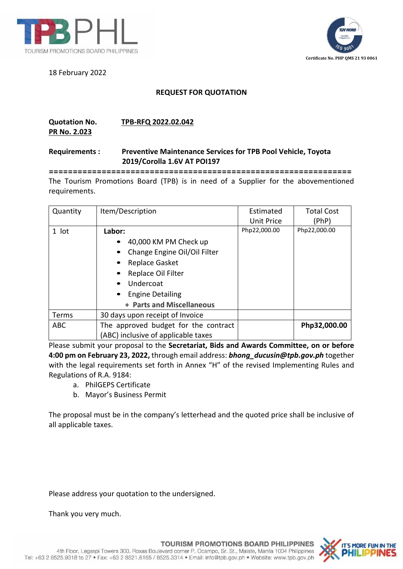

18 February 2022

## **Certificate No. PHP QMS 21 93 0061**

## **REQUEST FOR QUOTATION**

## **Quotation No. TPB-RFQ 2022.02.042**

**PR No. 2.023**

## **Requirements : Preventive Maintenance Services for TPB Pool Vehicle, Toyota 2019/Corolla 1.6V AT POI197**

**===============================================================** The Tourism Promotions Board (TPB) is in need of a Supplier for the abovementioned requirements.

| Quantity   | Item/Description                     | Estimated         | <b>Total Cost</b> |
|------------|--------------------------------------|-------------------|-------------------|
|            |                                      | <b>Unit Price</b> | (PhP)             |
| 1 lot      | Labor:                               | Php22,000.00      | Php22,000.00      |
|            | 40,000 KM PM Check up                |                   |                   |
|            | Change Engine Oil/Oil Filter         |                   |                   |
|            | Replace Gasket                       |                   |                   |
|            | Replace Oil Filter                   |                   |                   |
|            | Undercoat                            |                   |                   |
|            | <b>Engine Detailing</b>              |                   |                   |
|            | + Parts and Miscellaneous            |                   |                   |
| Terms      | 30 days upon receipt of Invoice      |                   |                   |
| <b>ABC</b> | The approved budget for the contract |                   | Php32,000.00      |
|            | (ABC) inclusive of applicable taxes  |                   |                   |

Please submit your proposal to the **Secretariat, Bids and Awards Committee, on or before 4:00 pm on February 23, 2022,** through email address: *bhong\_ducusin@tpb.gov.ph* together with the legal requirements set forth in Annex "H" of the revised Implementing Rules and Regulations of R.A. 9184:

- a. PhilGEPS Certificate
- b. Mayor's Business Permit

The proposal must be in the company's letterhead and the quoted price shall be inclusive of all applicable taxes.

Please address your quotation to the undersigned.

Thank you very much.